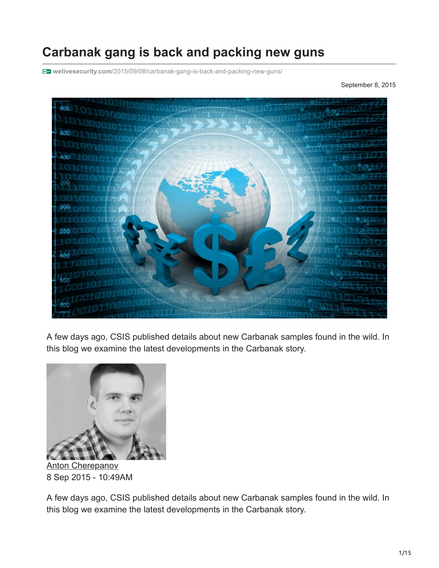# **Carbanak gang is back and packing new guns**

**welivesecurity.com**[/2015/09/08/carbanak-gang-is-back-and-packing-new-guns/](https://www.welivesecurity.com/2015/09/08/carbanak-gang-is-back-and-packing-new-guns/)

September 8, 2015



A few days ago, CSIS published details about new Carbanak samples found in the wild. In this blog we examine the latest developments in the Carbanak story.



[Anton Cherepanov](https://www.welivesecurity.com/author/acherepanov/) 8 Sep 2015 - 10:49AM

A few days ago, CSIS published details about new Carbanak samples found in the wild. In this blog we examine the latest developments in the Carbanak story.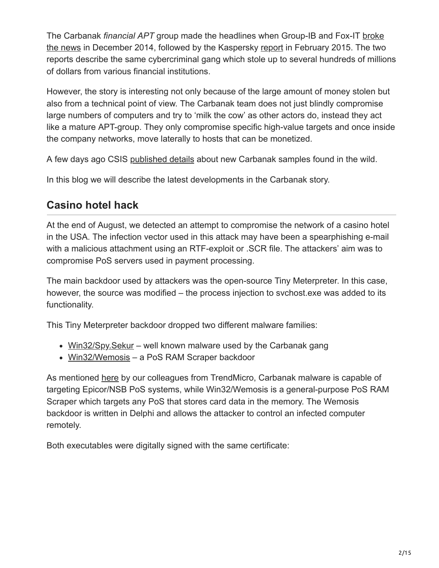The Carbanak *financial APT* group made the headlines when Group-IB and Fox-IT broke [the news in December 2014, followed by the Kaspersky report in February 2015. The two](https://www.fox-it.com/en/press-releases/anunak/) reports describe the same cybercriminal gang which stole up to several hundreds of millions of dollars from various financial institutions.

However, the story is interesting not only because of the large amount of money stolen but also from a technical point of view. The Carbanak team does not just blindly compromise large numbers of computers and try to 'milk the cow' as other actors do, instead they act like a mature APT-group. They only compromise specific high-value targets and once inside the company networks, move laterally to hosts that can be monetized.

A few days ago CSIS [published details](https://www.csis.dk/en/csis/blog/4710/) about new Carbanak samples found in the wild.

In this blog we will describe the latest developments in the Carbanak story.

## **Casino hotel hack**

At the end of August, we detected an attempt to compromise the network of a casino hotel in the USA. The infection vector used in this attack may have been a spearphishing e-mail with a malicious attachment using an RTF-exploit or .SCR file. The attackers' aim was to compromise PoS servers used in payment processing.

The main backdoor used by attackers was the open-source Tiny Meterpreter. In this case, however, the source was modified – the process injection to svchost.exe was added to its functionality.

This Tiny Meterpreter backdoor dropped two different malware families:

- [Win32/Spy.Sekur](http://virusradar.com/en/Win32_Spy.Sekur/detail)  well known malware used by the Carbanak gang
- [Win32/Wemosis](http://virusradar.com/en/Win32_Wemosis/detail)  a PoS RAM Scraper backdoor

As mentioned [here](http://blog.trendmicro.com/trendlabs-security-intelligence/signed-pos-malware-used-in-pre-holiday-attacks-linked-to-targeted-attacks/) by our colleagues from TrendMicro, Carbanak malware is capable of targeting Epicor/NSB PoS systems, while Win32/Wemosis is a general-purpose PoS RAM Scraper which targets any PoS that stores card data in the memory. The Wemosis backdoor is written in Delphi and allows the attacker to control an infected computer remotely.

Both executables were digitally signed with the same certificate: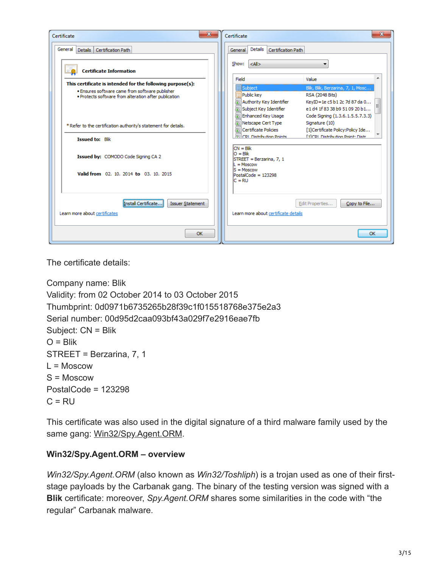| $\mathbf{x}$<br>Certificate                                                                              | $\mathbf{x}$<br>Certificate                                                                                                                                                                                                                         |
|----------------------------------------------------------------------------------------------------------|-----------------------------------------------------------------------------------------------------------------------------------------------------------------------------------------------------------------------------------------------------|
| General<br>Details Certification Path                                                                    | Details<br>Certification Path<br>General                                                                                                                                                                                                            |
| <b>Certificate Information</b>                                                                           | Show:<br>$ \langle A   \rangle$<br>Value<br>Field                                                                                                                                                                                                   |
| This certificate is intended for the following purpose(s):                                               | Subject                                                                                                                                                                                                                                             |
| . Ensures software came from software publisher<br>. Protects software from alteration after publication | Blik, Blik, Berzarina, 7, 1, Mosc<br>Public key<br>RSA (2048 Bits)<br>Authority Key Identifier<br>KeyID=1e c5 b1 2c 7d 87 da 0<br>e1 d4 1f 83 38 b9 51 09 20 b1<br>Subject Key Identifier<br>Enhanced Key Usage<br>Code Signing (1.3.6.1.5.5.7.3.3) |
| * Refer to the certification authority's statement for details.                                          | Netscape Cert Type<br>Signature (10)<br><b>Exil Certificate Policies</b><br>[1]Certificate Policy:Policy Ide                                                                                                                                        |
| <b>Issued to: Blik</b>                                                                                   | <b>ReliCRL Distribution Points</b><br><b>E11CRL Distribution Point: Distr.</b>                                                                                                                                                                      |
| Issued by: COMODO Code Signing CA 2                                                                      | $CN = Blik$<br>$O = Blik$<br>STREET = Berzarina, 7, 1<br>$\mathbf{l} = \mathbf{M}$ oscow                                                                                                                                                            |
| Valid from 02, 10, 2014 to 03, 10, 2015                                                                  | $S = \text{Moscow}$<br>PostalCode = 123298<br>$C = RU$                                                                                                                                                                                              |
| Install Certificate<br><b>Issuer Statement</b><br>Learn more about certificates                          | Edit Properties<br>Copy to File<br>Learn more about certificate details                                                                                                                                                                             |
| OK                                                                                                       | OK                                                                                                                                                                                                                                                  |

The certificate details:

```
Company name: Blik
Validity: from 02 October 2014 to 03 October 2015
Thumbprint: 0d0971b6735265b28f39c1f015518768e375e2a3
Serial number: 00d95d2caa093bf43a029f7e2916eae7fb
Subject: CN = Blik
O = Blik
STREET = Berzarina, 7, 1
L = Moscow
S = Moscow
PostalCode = 123298
C = RU
```
This certificate was also used in the digital signature of a third malware family used by the same gang: [Win32/Spy.Agent.ORM](http://virusradar.com/en/Win32_Spy.Agent.ORM/detail).

#### **Win32/Spy.Agent.ORM – overview**

*Win32/Spy.Agent.ORM* (also known as *Win32/Toshliph*) is a trojan used as one of their firststage payloads by the Carbanak gang. The binary of the testing version was signed with a **Blik** certificate: moreover, *Spy.Agent.ORM* shares some similarities in the code with "the regular" Carbanak malware.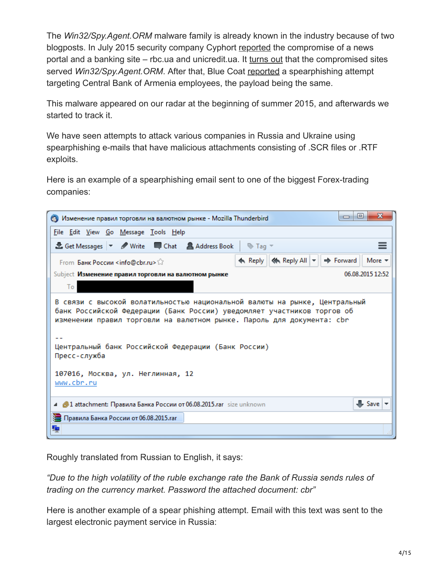The *Win32/Spy.Agent.ORM* malware family is already known in the industry because of two blogposts. In July 2015 security company Cyphort [reported](http://www.cyphort.com/unicredit-compromised/) the compromise of a news portal and a banking site – rbc.ua and unicredit.ua. It [turns out](http://www.cyphort.com/unicredit-compromise-continued/) that the compromised sites served *Win32/Spy.Agent.ORM*. After that, Blue Coat [reported](https://www.bluecoat.com/security-blog/2015-08-21/tinted-cve-decoy-spearphising-attempt-central-bank-armenia-employees) a spearphishing attempt targeting Central Bank of Armenia employees, the payload being the same.

This malware appeared on our radar at the beginning of summer 2015, and afterwards we started to track it.

We have seen attempts to attack various companies in Russia and Ukraine using spearphishing e-mails that have malicious attachments consisting of .SCR files or .RTF exploits.

Here is an example of a spearphishing email sent to one of the biggest Forex-trading companies:



Roughly translated from Russian to English, it says:

*"Due to the high volatility of the ruble exchange rate the Bank of Russia sends rules of trading on the currency market. Password the attached document: cbr"*

Here is another example of a spear phishing attempt. Email with this text was sent to the largest electronic payment service in Russia: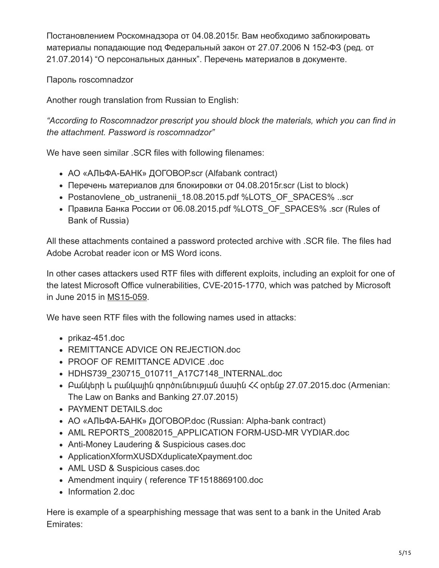Постановлением Роскомнадзора от 04.08.2015г. Вам необходимо заблокировать материалы попадающие под Федеральный закон от 27.07.2006 N 152-ФЗ (ред. от 21.07.2014) "О персональных данных". Перечень материалов в документе.

Пароль roscomnadzor

Another rough translation from Russian to English:

*"According to Roscomnadzor prescript you should block the materials, which you can find in the attachment. Password is roscomnadzor"*

We have seen similar .SCR files with following filenames:

- АО «АЛЬФА-БАНК» ДОГОВОР.scr (Alfabank contract)
- Перечень материалов для блокировки от 04.08.2015г.scr (List to block)
- Postanovlene ob ustranenii 18.08.2015.pdf %LOTS OF SPACES% ..scr
- Правила Банка России от 06.08.2015.pdf %LOTS\_OF\_SPACES% .scr (Rules of Bank of Russia)

All these attachments contained a password protected archive with .SCR file. The files had Adobe Acrobat reader icon or MS Word icons.

In other cases attackers used RTF files with different exploits, including an exploit for one of the latest Microsoft Office vulnerabilities, CVE-2015-1770, which was patched by Microsoft in June 2015 in [MS15-059](https://technet.microsoft.com/en-us/library/security/ms15-059.aspx).

We have seen RTF files with the following names used in attacks:

- prikaz-451.doc
- REMITTANCE ADVICE ON REJECTION.doc
- PROOF OF REMITTANCE ADVICE .doc
- HDHS739 230715 010711 A17C7148 INTERNAL.doc
- Բանկերի և բանկային գործունեության մասին  $\leq$  optup 27.07.2015.doc (Armenian: The Law on Banks and Banking 27.07.2015)
- PAYMENT DETAILS.doc
- АО «АЛЬФА-БАНК» ДОГОВОР.doc (Russian: Alpha-bank contract)
- AML REPORTS 20082015 APPLICATION FORM-USD-MR VYDIAR.doc
- Anti-Money Laudering & Suspicious cases.doc
- ApplicationXformXUSDXduplicateXpayment.doc
- AML USD & Suspicious cases.doc
- Amendment inquiry ( reference TF1518869100.doc
- Information 2.doc

Here is example of a spearphishing message that was sent to a bank in the United Arab Emirates: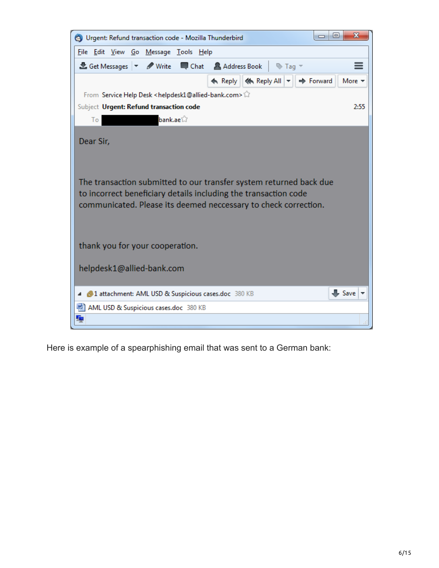

Here is example of a spearphishing email that was sent to a German bank: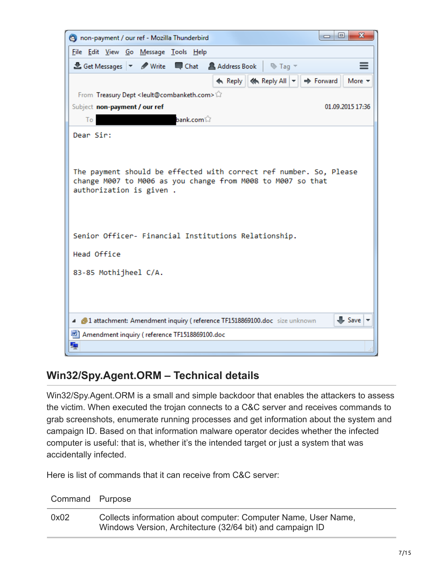

## **Win32/Spy.Agent.ORM – Technical details**

Win32/Spy.Agent.ORM is a small and simple backdoor that enables the attackers to assess the victim. When executed the trojan connects to a C&C server and receives commands to grab screenshots, enumerate running processes and get information about the system and campaign ID. Based on that information malware operator decides whether the infected computer is useful: that is, whether it's the intended target or just a system that was accidentally infected.

Here is list of commands that it can receive from C&C server:

| Command Purpose |                                                                                                                             |
|-----------------|-----------------------------------------------------------------------------------------------------------------------------|
| 0x02            | Collects information about computer: Computer Name, User Name,<br>Windows Version, Architecture (32/64 bit) and campaign ID |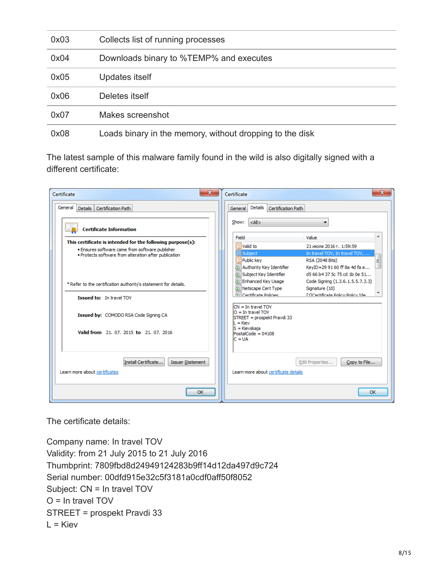| 0x03 | Collects list of running processes                       |
|------|----------------------------------------------------------|
| 0x04 | Downloads binary to %TEMP% and executes                  |
| 0x05 | Updates itself                                           |
| 0x06 | Deletes itself                                           |
| 0x07 | Makes screenshot                                         |
| 0x08 | Loads binary in the memory, without dropping to the disk |

The latest sample of this malware family found in the wild is also digitally signed with a different certificate:

| $\mathbf{x}$<br>Certificate                                                                              | $\mathbf{x}$<br>Certificate                                                              |
|----------------------------------------------------------------------------------------------------------|------------------------------------------------------------------------------------------|
| General Details Certification Path                                                                       | Details<br>Certification Path<br>General                                                 |
| <b>Certificate Information</b>                                                                           | $ \langle A   \rangle$<br>Show:                                                          |
|                                                                                                          | Field<br>Value                                                                           |
| This certificate is intended for the following purpose(s):                                               | 圁<br>Valid to<br>21 июля 2016 г. 1:59:59                                                 |
| . Ensures software came from software publisher<br>. Protects software from alteration after publication | <b>Subject</b><br>In travel TOV, In travel TOV,                                          |
|                                                                                                          | Public kev<br>RSA (2048 Bits)                                                            |
|                                                                                                          | Authority Key Identifier<br>KeyID=29 91 60 ff 8a 4d fa e                                 |
|                                                                                                          | d5 66 b4 37 5c 75 cd 1b 0e 51<br>Subject Key Identifier                                  |
| * Refer to the certification authority's statement for details.                                          | <b>Fill Enhanced Key Usage</b><br>Code Signing (1.3.6.1.5.5.7.3.3)                       |
|                                                                                                          | Netscape Cert Type<br>Signature (10)                                                     |
| <b>Issued to: In travel TOV</b>                                                                          | <b>Rel Certificate Policies</b><br><b>E11Certificate Policy:Policy Ide</b>               |
| Issued by: COMODO RSA Code Signing CA                                                                    | $CN = In travel TOV$<br>$O = In travel TOV$<br>STREET = prospekt Pravdi 33<br>$L =$ Kiev |
| Valid from 21, 07, 2015 to 21, 07, 2016                                                                  | lS = Kievskaja<br>$PostalCode = 04108$<br>$C = UA$                                       |
| Install Certificate<br><b>Issuer Statement</b><br>Learn more about certificates                          | Copy to File<br>Edit Properties<br>Learn more about certificate details                  |
| OK                                                                                                       | <b>OK</b>                                                                                |

The certificate details:

Company name: In travel TOV Validity: from 21 July 2015 to 21 July 2016 Thumbprint: 7809fbd8d24949124283b9ff14d12da497d9c724 Serial number: 00dfd915e32c5f3181a0cdf0aff50f8052 Subject: CN = In travel TOV O = In travel TOV STREET = prospekt Pravdi 33  $L =$ Kiev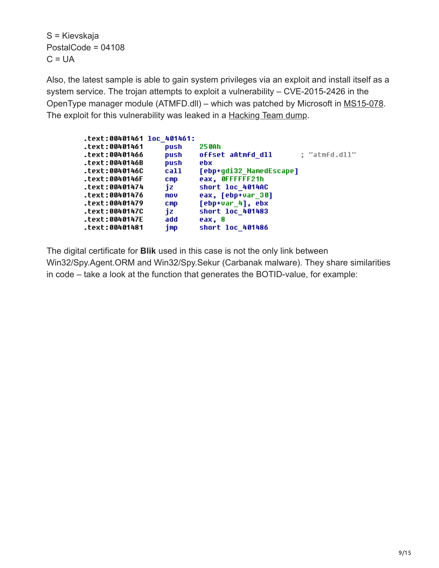S = Kievskaja PostalCode = 04108  $C = UA$ 

Also, the latest sample is able to gain system privileges via an exploit and install itself as a system service. The trojan attempts to exploit a vulnerability – CVE-2015-2426 in the OpenType manager module (ATMFD.dll) – which was patched by Microsoft in [MS15-078.](https://technet.microsoft.com/en-us/library/security/ms15-078.aspx) The exploit for this vulnerability was leaked in a **[Hacking Team dump](https://www.welivesecurity.com/2015/07/06/400gb-info-leaked-hacking-team/)**.

| .text:00401461 loc 401461: |            |                                    |
|----------------------------|------------|------------------------------------|
| .text:00401461             | push       | 250Ah                              |
| .text:00401466             | push       | : "atmfd.dll"<br>offset aAtmfd dll |
| .text:0040146B             | push       | ebx                                |
| .text:0040146C             | call       | [ebp+qdi32 NamedEscape]            |
| .text:0040146F             | <b>CMD</b> | eax, OFFFFFF21h                    |
| .text:00401474             | iz         | short loc 4014AC                   |
| .text:00401476             | mov        | eax, [ebp+var 30]                  |
| .text:00401479             | <b>CMD</b> | [ebp+var 4], ebx                   |
| .text:0040147C             | iz         | short loc 401483                   |
| .text:0040147E             | add        | eax. 8                             |
| .text:00401481             | imp        | short loc 401486                   |
|                            |            |                                    |

The digital certificate for **Blik** used in this case is not the only link between

Win32/Spy.Agent.ORM and Win32/Spy.Sekur (Carbanak malware). They share similarities in code – take a look at the function that generates the BOTID-value, for example: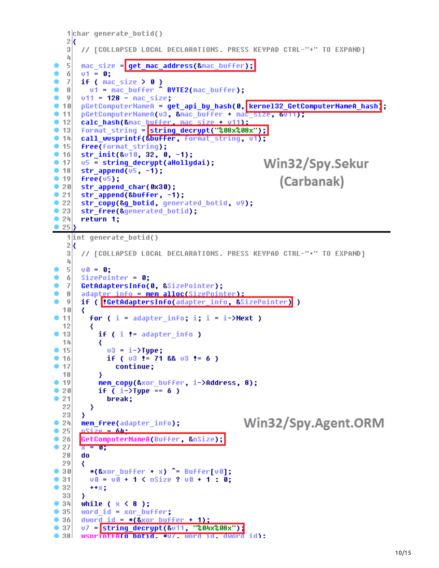```
1char generate botid()
  2k// [COLLAPSED LOCAL DECLARATIONS. PRESS KEYPAD CTRL-"+" TO EXPAND]
   3
   4
  5
      mac size = qet mac address(&mac buffer);
۰
  6
      v1 = 0:
  \overline{7}if ( mac size > 0 )
        vt = mac buffer BYTE2(max buffer);
  8
  9
      v11 = 128 - mac_size;pGetComputerNameA = get_api_by_hash(0, kernel32_GetComputerNameA_hash);
 10pGetComputerNameA(v3, &mac_buffer + mac_size, &UTT);
۰
 11• 12calc hash (&mac buffer, mac size + v11);
      format string = string decrypt("808x808x");• 13call wusprintf(&buffer, format string, v1);
0.14• 15free(format string);
• 16str init(&u10, 32, 0, -1);
                                                   Win32/Spy.Sekur
• 1705 = string decrypt(aHollydai);
• 18str append(05, -1);
• 19(Carbanak)
      free(v5);
•20str append char(0x30);
      str_append(&buffer, -1);
•21\bullet 22
      str copy(&q botid, generated botid, v9);
      str free(&generated botid);
۰
 23
 24
۰
      return 1;
\rightarrow 25 \rightarrow1int generate botid()
   2k3
      // [COLLAPSED LOCAL DECLARATIONS. PRESS KEYPAD CTRL-"+" TO EXPAND]
   4
  5
      00 = 0;
٠
  6
      SizePointer = \theta;
۰
      GetAdaptersInfo(0, &SizePointer);
  7
      adapter info = mem alloc(SizePointer):
  8
  9
      if ( <mark>!GetAdaptersInfo(</mark>adapter_info, &SizePointer) )
  10₹
 11For ( i = adapter info; i; i = i->Next )
 12₹
• 13if ( i := adapter info )
  14
          ₹
            v3 = i - \lambda Type;• 15if (03 := 71 && 03 := 6)
• 16• 17continue;
  18
          ≯
• 19mem copy(&xor buffer, i->Address, 8);
•20if ( i->Type == 6 )
•21break;
  22
        ₹
  23
      Y
                                              Win32/Spy.Agent.ORM
024mem free(adapter info);
•25<u>nSize = 64:</u>
•26GetComputerNameA(Buffer, &nSize);
•27x = 028
      do
  29
        *(&xor_buffer + x) ^= Buffer[v0];
•30•31v0 = v0 + 1 < nSize ? v0 + 1 : 0;
•32+ + 8.333
      Y
• 34while (x < 8);
•35word_id = xor_buffer;•36dword id = *(kxor buffer + 1);07 = string_decrypt(&v11, "%04x%08x");
•37\bullet 38
      wsnrint<mark>fula botid, *v/, word id, dword id);</mark>
```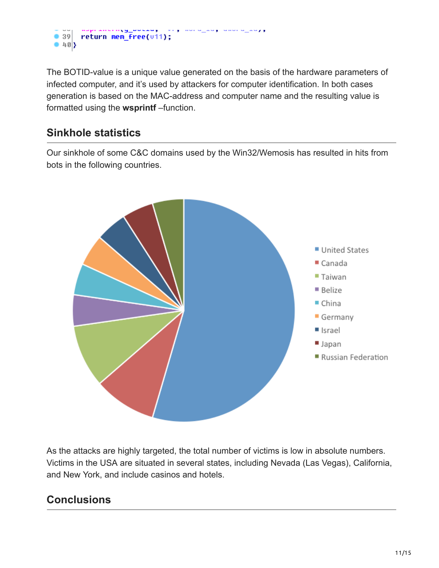

The BOTID-value is a unique value generated on the basis of the hardware parameters of infected computer, and it's used by attackers for computer identification. In both cases generation is based on the MAC-address and computer name and the resulting value is formatted using the **wsprintf** –function.

## **Sinkhole statistics**

Our sinkhole of some C&C domains used by the Win32/Wemosis has resulted in hits from bots in the following countries.



As the attacks are highly targeted, the total number of victims is low in absolute numbers. Victims in the USA are situated in several states, including Nevada (Las Vegas), California, and New York, and include casinos and hotels.

## **Conclusions**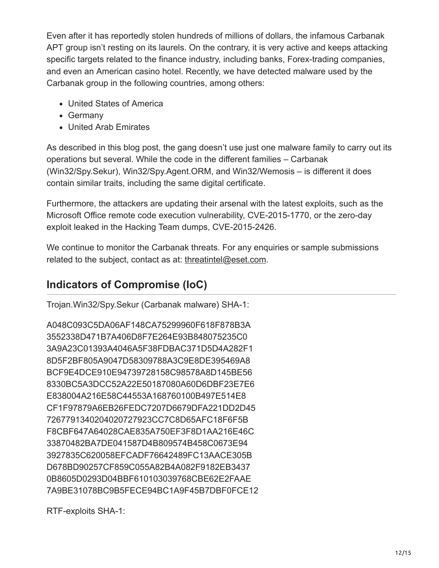Even after it has reportedly stolen hundreds of millions of dollars, the infamous Carbanak APT group isn't resting on its laurels. On the contrary, it is very active and keeps attacking specific targets related to the finance industry, including banks, Forex-trading companies, and even an American casino hotel. Recently, we have detected malware used by the Carbanak group in the following countries, among others:

- United States of America
- Germany
- United Arab Emirates

As described in this blog post, the gang doesn't use just one malware family to carry out its operations but several. While the code in the different families – Carbanak (Win32/Spy.Sekur), Win32/Spy.Agent.ORM, and Win32/Wemosis – is different it does contain similar traits, including the same digital certificate.

Furthermore, the attackers are updating their arsenal with the latest exploits, such as the Microsoft Office remote code execution vulnerability, CVE-2015-1770, or the zero-day exploit leaked in the Hacking Team dumps, CVE-2015-2426.

We continue to monitor the Carbanak threats. For any enquiries or sample submissions related to the subject, contact as at: [threatintel@eset.com](http://10.10.0.46/mailto:threatintel@eset.com).

## **Indicators of Compromise (IoC)**

Trojan.Win32/Spy.Sekur (Carbanak malware) SHA-1:

A048C093C5DA06AF148CA75299960F618F878B3A 3552338D471B7A406D8F7E264E93B848075235C0 3A9A23C01393A4046A5F38FDBAC371D5D4A282F1 8D5F2BF805A9047D58309788A3C9E8DE395469A8 BCF9E4DCE910E94739728158C98578A8D145BE56 8330BC5A3DCC52A22E50187080A60D6DBF23E7E6 E838004A216E58C44553A168760100B497E514E8 CF1F97879A6EB26FEDC7207D6679DFA221DD2D45 7267791340204020727923CC7C8D65AFC18F6F5B F8CBF647A64028CAE835A750EF3F8D1AA216E46C 33870482BA7DE041587D4B809574B458C0673E94 3927835C620058EFCADF76642489FC13AACE305B D678BD90257CF859C055A82B4A082F9182EB3437 0B8605D0293D04BBF610103039768CBE62E2FAAE 7A9BE31078BC9B5FECE94BC1A9F45B7DBF0FCE12

RTF-exploits SHA-1: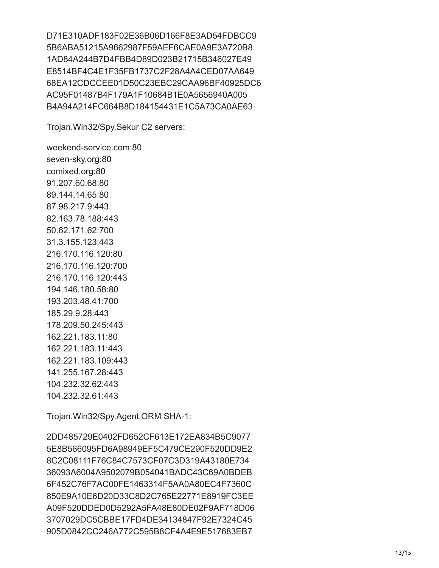D71E310ADF183F02E36B06D166F8E3AD54FDBCC9 5B6ABA51215A9662987F59AEF6CAE0A9E3A720B8 1AD84A244B7D4FBB4D89D023B21715B346027E49 E8514BF4C4E1F35FB1737C2F28A4A4CED07AA649 68EA12CDCCEE01D50C23EBC29CAA96BF40925DC6 AC95F01487B4F179A1F10684B1E0A5656940A005 B4A94A214FC664B8D184154431E1C5A73CA0AE63

Trojan.Win32/Spy.Sekur C2 servers:

weekend-service.com:80 seven-sky.org:80 comixed.org:80 91.207.60.68:80 89.144.14.65:80 87.98.217.9:443 82.163.78.188:443 50.62.171.62:700 31.3.155.123:443 216.170.116.120:80 216.170.116.120:700 216.170.116.120:443 194.146.180.58:80 193.203.48.41:700 185.29.9.28:443 178.209.50.245:443 162.221.183.11:80 162.221.183.11:443 162.221.183.109:443 141.255.167.28:443 104.232.32.62:443 104.232.32.61:443

Trojan.Win32/Spy.Agent.ORM SHA-1:

2DD485729E0402FD652CF613E172EA834B5C9077 5E8B566095FD6A98949EF5C479CE290F520DD9E2 8C2C08111F76C84C7573CF07C3D319A43180E734 36093A6004A9502079B054041BADC43C69A0BDEB 6F452C76F7AC00FE1463314F5AA0A80EC4F7360C 850E9A10E6D20D33C8D2C765E22771E8919FC3EE A09F520DDED0D5292A5FA48E80DE02F9AF718D06 3707029DC5CBBE17FD4DE34134847F92E7324C45 905D0842CC246A772C595B8CF4A4E9E517683EB7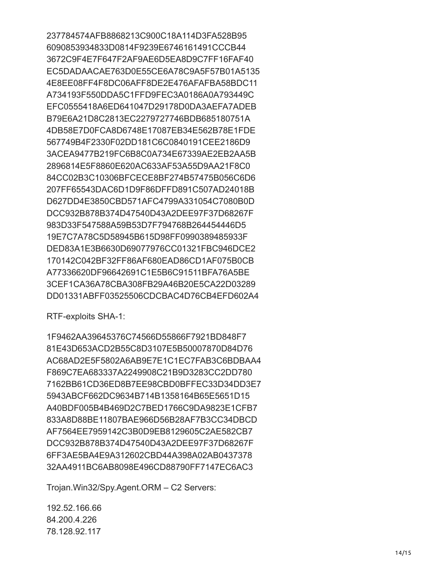237784574AFB8868213C900C18A114D3FA528B95 6090853934833D0814F9239E6746161491CCCB44 3672C9F4E7F647F2AF9AE6D5EA8D9C7FF16FAF40 EC5DADAACAE763D0E55CE6A78C9A5F57B01A5135 4E8EE08FF4F8DC06AFF8DE2E476AFAFBA58BDC11 A734193F550DDA5C1FFD9FEC3A0186A0A793449C EFC0555418A6ED641047D29178D0DA3AEFA7ADEB B79E6A21D8C2813EC2279727746BDB685180751A 4DB58E7D0FCA8D6748E17087EB34E562B78E1FDE 567749B4F2330F02DD181C6C0840191CEE2186D9 3ACEA9477B219FC6B8C0A734E67339AE2EB2AA5B 2896814E5F8860E620AC633AF53A55D9AA21F8C0 84CC02B3C10306BFCECE8BF274B57475B056C6D6 207FF65543DAC6D1D9F86DFFD891C507AD24018B D627DD4E3850CBD571AFC4799A331054C7080B0D DCC932B878B374D47540D43A2DEE97F37D68267F 983D33F547588A59B53D7F794768B264454446D5 19E7C7A78C5D58945B615D98FF0990389485933F DED83A1E3B6630D69077976CC01321FBC946DCE2 170142C042BF32FF86AF680EAD86CD1AF075B0CB A77336620DF96642691C1E5B6C91511BFA76A5BE 3CEF1CA36A78CBA308FB29A46B20E5CA22D03289 DD01331ABFF03525506CDCBAC4D76CB4EFD602A4

RTF-exploits SHA-1:

1F9462AA39645376C74566D55866F7921BD848F7 81E43D653ACD2B55C8D3107E5B50007870D84D76 AC68AD2E5F5802A6AB9E7E1C1EC7FAB3C6BDBAA4 F869C7EA683337A2249908C21B9D3283CC2DD780 7162BB61CD36ED8B7EE98CBD0BFFEC33D34DD3E7 5943ABCF662DC9634B714B1358164B65E5651D15 A40BDF005B4B469D2C7BED1766C9DA9823E1CFB7 833A8D88BE11807BAE966D56B28AF7B3CC34DBCD AF7564EE7959142C3B0D9EB8129605C2AE582CB7 DCC932B878B374D47540D43A2DEE97F37D68267F 6FF3AE5BA4E9A312602CBD44A398A02AB0437378 32AA4911BC6AB8098E496CD88790FF7147EC6AC3

Trojan.Win32/Spy.Agent.ORM – C2 Servers:

192.52.166.66 84.200.4.226 78.128.92.117